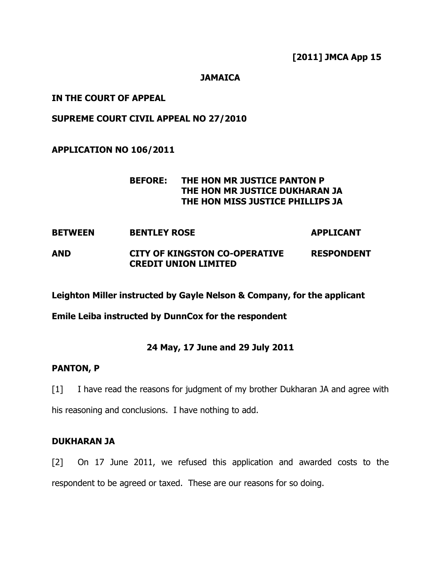#### **JAMAICA**

## IN THE COURT OF APPEAL

## SUPREME COURT CIVIL APPEAL NO 27/2010

## APPLICATION NO 106/2011

## BEFORE: THE HON MR JUSTICE PANTON P THE HON MR JUSTICE DUKHARAN JA THE HON MISS JUSTICE PHILLIPS JA

# BETWEEN BENTLEY ROSE APPLICANT

## AND CITY OF KINGSTON CO-OPERATIVE RESPONDENT CREDIT UNION LIMITED

Leighton Miller instructed by Gayle Nelson & Company, for the applicant

Emile Leiba instructed by DunnCox for the respondent

## 24 May, 17 June and 29 July 2011

#### PANTON, P

[1] I have read the reasons for judgment of my brother Dukharan JA and agree with his reasoning and conclusions. I have nothing to add.

## DUKHARAN JA

[2] On 17 June 2011, we refused this application and awarded costs to the respondent to be agreed or taxed. These are our reasons for so doing.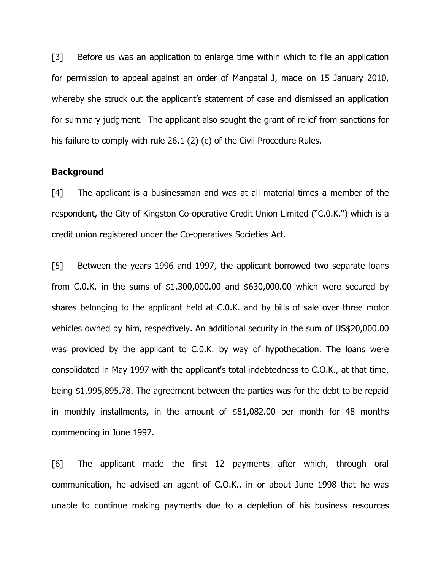[3] Before us was an application to enlarge time within which to file an application for permission to appeal against an order of Mangatal J, made on 15 January 2010, whereby she struck out the applicant's statement of case and dismissed an application for summary judgment. The applicant also sought the grant of relief from sanctions for his failure to comply with rule 26.1 (2) (c) of the Civil Procedure Rules.

#### **Background**

[4] The applicant is a businessman and was at all material times a member of the respondent, the City of Kingston Co-operative Credit Union Limited ("C.0.K.") which is a credit union registered under the Co-operatives Societies Act.

[5] Between the years 1996 and 1997, the applicant borrowed two separate loans from C.0.K. in the sums of \$1,300,000.00 and \$630,000.00 which were secured by shares belonging to the applicant held at C.0.K. and by bills of sale over three motor vehicles owned by him, respectively. An additional security in the sum of US\$20,000.00 was provided by the applicant to C.0.K. by way of hypothecation. The loans were consolidated in May 1997 with the applicant's total indebtedness to C.O.K., at that time, being \$1,995,895.78. The agreement between the parties was for the debt to be repaid in monthly installments, in the amount of \$81,082.00 per month for 48 months commencing in June 1997.

[6] The applicant made the first 12 payments after which, through oral communication, he advised an agent of C.O.K., in or about June 1998 that he was unable to continue making payments due to a depletion of his business resources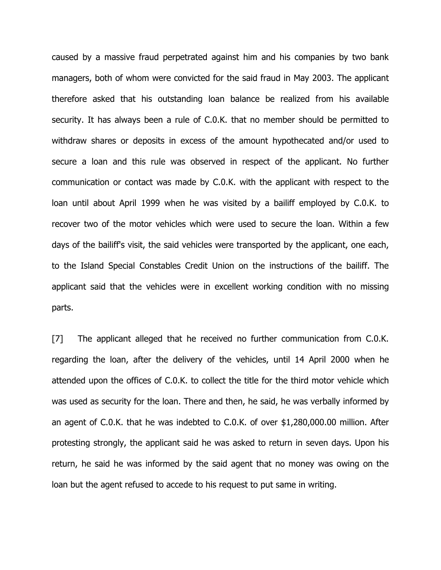caused by a massive fraud perpetrated against him and his companies by two bank managers, both of whom were convicted for the said fraud in May 2003. The applicant therefore asked that his outstanding loan balance be realized from his available security. It has always been a rule of C.0.K. that no member should be permitted to withdraw shares or deposits in excess of the amount hypothecated and/or used to secure a loan and this rule was observed in respect of the applicant. No further communication or contact was made by C.0.K. with the applicant with respect to the loan until about April 1999 when he was visited by a bailiff employed by C.0.K. to recover two of the motor vehicles which were used to secure the loan. Within a few days of the bailiff's visit, the said vehicles were transported by the applicant, one each, to the Island Special Constables Credit Union on the instructions of the bailiff. The applicant said that the vehicles were in excellent working condition with no missing parts.

[7] The applicant alleged that he received no further communication from C.O.K. regarding the loan, after the delivery of the vehicles, until 14 April 2000 when he attended upon the offices of C.0.K. to collect the title for the third motor vehicle which was used as security for the loan. There and then, he said, he was verbally informed by an agent of C.0.K. that he was indebted to C.0.K. of over \$1,280,000.00 million. After protesting strongly, the applicant said he was asked to return in seven days. Upon his return, he said he was informed by the said agent that no money was owing on the loan but the agent refused to accede to his request to put same in writing.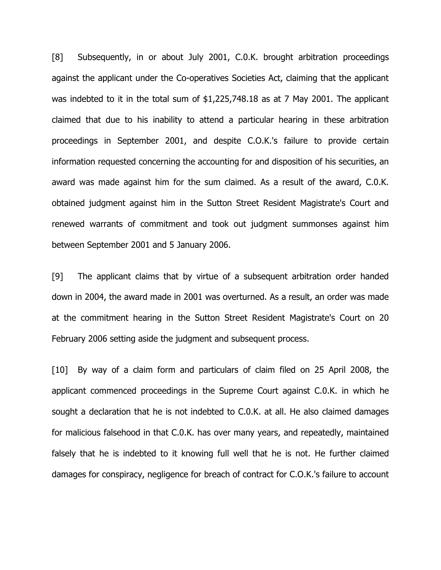[8] Subsequently, in or about July 2001, C.0.K. brought arbitration proceedings against the applicant under the Co-operatives Societies Act, claiming that the applicant was indebted to it in the total sum of \$1,225,748.18 as at 7 May 2001. The applicant claimed that due to his inability to attend a particular hearing in these arbitration proceedings in September 2001, and despite C.O.K.'s failure to provide certain information requested concerning the accounting for and disposition of his securities, an award was made against him for the sum claimed. As a result of the award, C.0.K. obtained judgment against him in the Sutton Street Resident Magistrate's Court and renewed warrants of commitment and took out judgment summonses against him between September 2001 and 5 January 2006.

[9] The applicant claims that by virtue of a subsequent arbitration order handed down in 2004, the award made in 2001 was overturned. As a result, an order was made at the commitment hearing in the Sutton Street Resident Magistrate's Court on 20 February 2006 setting aside the judgment and subsequent process.

[10] By way of a claim form and particulars of claim filed on 25 April 2008, the applicant commenced proceedings in the Supreme Court against C.0.K. in which he sought a declaration that he is not indebted to C.0.K. at all. He also claimed damages for malicious falsehood in that C.0.K. has over many years, and repeatedly, maintained falsely that he is indebted to it knowing full well that he is not. He further claimed damages for conspiracy, negligence for breach of contract for C.O.K.'s failure to account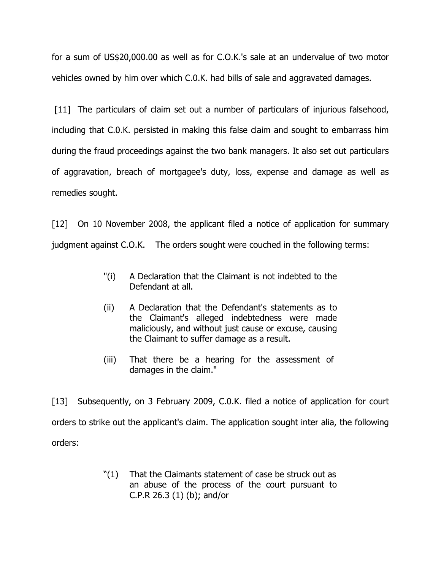for a sum of US\$20,000.00 as well as for C.O.K.'s sale at an undervalue of two motor vehicles owned by him over which C.0.K. had bills of sale and aggravated damages.

[11] The particulars of claim set out a number of particulars of injurious falsehood, including that C.0.K. persisted in making this false claim and sought to embarrass him during the fraud proceedings against the two bank managers. It also set out particulars of aggravation, breach of mortgagee's duty, loss, expense and damage as well as remedies sought.

[12] On 10 November 2008, the applicant filed a notice of application for summary judgment against C.O.K. The orders sought were couched in the following terms:

- "(i) A Declaration that the Claimant is not indebted to the Defendant at all.
- (ii) A Declaration that the Defendant's statements as to the Claimant's alleged indebtedness were made maliciously, and without just cause or excuse, causing the Claimant to suffer damage as a result.
- (iii) That there be a hearing for the assessment of damages in the claim."

[13] Subsequently, on 3 February 2009, C.0.K. filed a notice of application for court orders to strike out the applicant's claim. The application sought inter alia, the following orders:

> "(1) That the Claimants statement of case be struck out as an abuse of the process of the court pursuant to C.P.R 26.3 (1) (b); and/or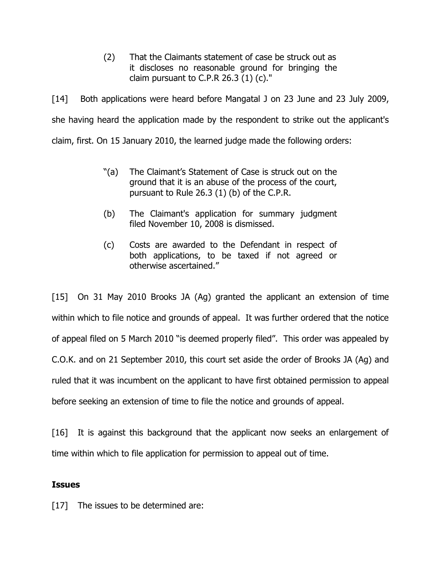(2) That the Claimants statement of case be struck out as it discloses no reasonable ground for bringing the claim pursuant to C.P.R  $26.3$  (1) (c)."

[14] Both applications were heard before Mangatal J on 23 June and 23 July 2009, she having heard the application made by the respondent to strike out the applicant's claim, first. On 15 January 2010, the learned judge made the following orders:

- "(a) The Claimant's Statement of Case is struck out on the ground that it is an abuse of the process of the court, pursuant to Rule 26.3 (1) (b) of the C.P.R.
- (b) The Claimant's application for summary judgment filed November 10, 2008 is dismissed.
- (c) Costs are awarded to the Defendant in respect of both applications, to be taxed if not agreed or otherwise ascertained."

[15] On 31 May 2010 Brooks JA (Ag) granted the applicant an extension of time within which to file notice and grounds of appeal. It was further ordered that the notice of appeal filed on 5 March 2010 "is deemed properly filed". This order was appealed by C.O.K. and on 21 September 2010, this court set aside the order of Brooks JA (Ag) and ruled that it was incumbent on the applicant to have first obtained permission to appeal before seeking an extension of time to file the notice and grounds of appeal.

[16] It is against this background that the applicant now seeks an enlargement of time within which to file application for permission to appeal out of time.

#### **Issues**

[17] The issues to be determined are: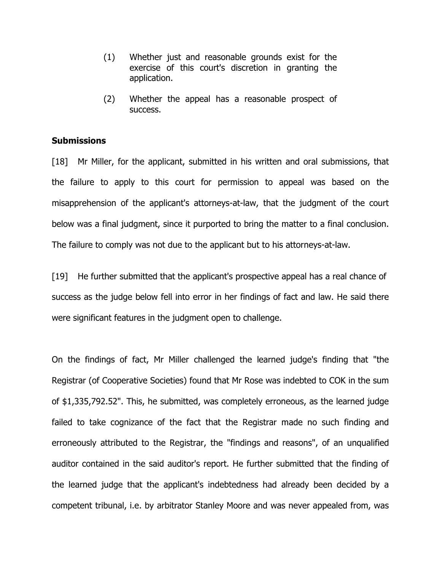- (1) Whether just and reasonable grounds exist for the exercise of this court's discretion in granting the application.
- (2) Whether the appeal has a reasonable prospect of success.

#### **Submissions**

[18] Mr Miller, for the applicant, submitted in his written and oral submissions, that the failure to apply to this court for permission to appeal was based on the misapprehension of the applicant's attorneys-at-law, that the judgment of the court below was a final judgment, since it purported to bring the matter to a final conclusion. The failure to comply was not due to the applicant but to his attorneys-at-law.

[19] He further submitted that the applicant's prospective appeal has a real chance of success as the judge below fell into error in her findings of fact and law. He said there were significant features in the judgment open to challenge.

On the findings of fact, Mr Miller challenged the learned judge's finding that "the Registrar (of Cooperative Societies) found that Mr Rose was indebted to COK in the sum of \$1,335,792.52". This, he submitted, was completely erroneous, as the learned judge failed to take cognizance of the fact that the Registrar made no such finding and erroneously attributed to the Registrar, the "findings and reasons", of an unqualified auditor contained in the said auditor's report. He further submitted that the finding of the learned judge that the applicant's indebtedness had already been decided by a competent tribunal, i.e. by arbitrator Stanley Moore and was never appealed from, was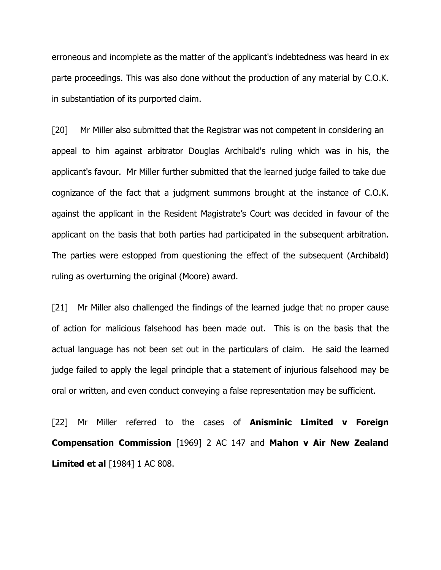erroneous and incomplete as the matter of the applicant's indebtedness was heard in ex parte proceedings. This was also done without the production of any material by C.O.K. in substantiation of its purported claim.

[20] Mr Miller also submitted that the Registrar was not competent in considering an appeal to him against arbitrator Douglas Archibald's ruling which was in his, the applicant's favour. Mr Miller further submitted that the learned judge failed to take due cognizance of the fact that a judgment summons brought at the instance of C.O.K. against the applicant in the Resident Magistrate's Court was decided in favour of the applicant on the basis that both parties had participated in the subsequent arbitration. The parties were estopped from questioning the effect of the subsequent (Archibald) ruling as overturning the original (Moore) award.

[21] Mr Miller also challenged the findings of the learned judge that no proper cause of action for malicious falsehood has been made out. This is on the basis that the actual language has not been set out in the particulars of claim. He said the learned judge failed to apply the legal principle that a statement of injurious falsehood may be oral or written, and even conduct conveying a false representation may be sufficient.

[22] Mr Miller referred to the cases of **Anisminic Limited v Foreign** Compensation Commission [1969] 2 AC 147 and Mahon v Air New Zealand **Limited et al** [1984] 1 AC 808.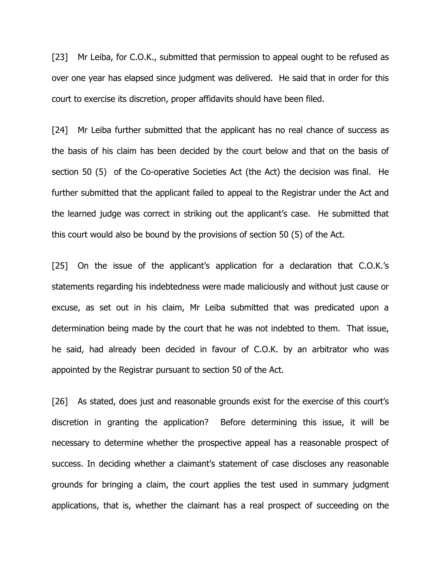[23] Mr Leiba, for C.O.K., submitted that permission to appeal ought to be refused as over one year has elapsed since judgment was delivered. He said that in order for this court to exercise its discretion, proper affidavits should have been filed.

[24] Mr Leiba further submitted that the applicant has no real chance of success as the basis of his claim has been decided by the court below and that on the basis of section 50 (5) of the Co-operative Societies Act (the Act) the decision was final. He further submitted that the applicant failed to appeal to the Registrar under the Act and the learned judge was correct in striking out the applicant's case. He submitted that this court would also be bound by the provisions of section 50 (5) of the Act.

[25] On the issue of the applicant's application for a declaration that C.O.K.'s statements regarding his indebtedness were made maliciously and without just cause or excuse, as set out in his claim, Mr Leiba submitted that was predicated upon a determination being made by the court that he was not indebted to them. That issue, he said, had already been decided in favour of C.O.K. by an arbitrator who was appointed by the Registrar pursuant to section 50 of the Act.

[26] As stated, does just and reasonable grounds exist for the exercise of this court's discretion in granting the application? Before determining this issue, it will be necessary to determine whether the prospective appeal has a reasonable prospect of success. In deciding whether a claimant's statement of case discloses any reasonable grounds for bringing a claim, the court applies the test used in summary judgment applications, that is, whether the claimant has a real prospect of succeeding on the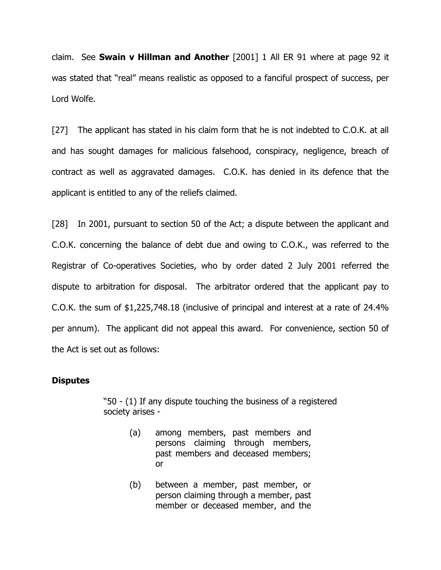claim. See **Swain v Hillman and Another** [2001] 1 All ER 91 where at page 92 it was stated that "real" means realistic as opposed to a fanciful prospect of success, per Lord Wolfe.

[27] The applicant has stated in his claim form that he is not indebted to C.O.K. at all and has sought damages for malicious falsehood, conspiracy, negligence, breach of contract as well as aggravated damages. C.O.K. has denied in its defence that the applicant is entitled to any of the reliefs claimed.

[28] In 2001, pursuant to section 50 of the Act; a dispute between the applicant and C.O.K. concerning the balance of debt due and owing to C.O.K., was referred to the Registrar of Co-operatives Societies, who by order dated 2 July 2001 referred the dispute to arbitration for disposal. The arbitrator ordered that the applicant pay to C.O.K. the sum of \$1,225,748.18 (inclusive of principal and interest at a rate of 24.4% per annum). The applicant did not appeal this award. For convenience, section 50 of the Act is set out as follows:

#### **Disputes**

"50 - (1) If any dispute touching the business of a registered society arises -

- (a) among members, past members and persons claiming through members, past members and deceased members; or
- (b) between a member, past member, or person claiming through a member, past member or deceased member, and the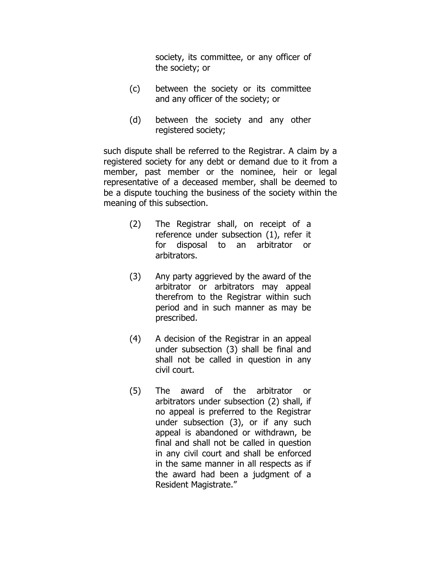society, its committee, or any officer of the society; or

- (c) between the society or its committee and any officer of the society; or
- (d) between the society and any other registered society;

such dispute shall be referred to the Registrar. A claim by a registered society for any debt or demand due to it from a member, past member or the nominee, heir or legal representative of a deceased member, shall be deemed to be a dispute touching the business of the society within the meaning of this subsection.

- (2) The Registrar shall, on receipt of a reference under subsection (1), refer it for disposal to an arbitrator or arbitrators.
- (3) Any party aggrieved by the award of the arbitrator or arbitrators may appeal therefrom to the Registrar within such period and in such manner as may be prescribed.
- (4) A decision of the Registrar in an appeal under subsection (3) shall be final and shall not be called in question in any civil court.
- (5) The award of the arbitrator or arbitrators under subsection (2) shall, if no appeal is preferred to the Registrar under subsection (3), or if any such appeal is abandoned or withdrawn, be final and shall not be called in question in any civil court and shall be enforced in the same manner in all respects as if the award had been a judgment of a Resident Magistrate."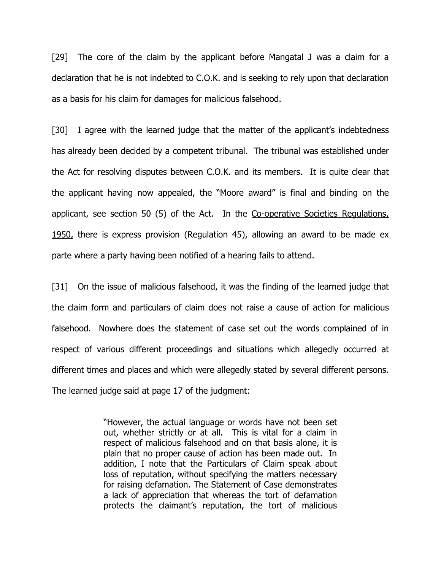[29] The core of the claim by the applicant before Mangatal J was a claim for a declaration that he is not indebted to C.O.K. and is seeking to rely upon that declaration as a basis for his claim for damages for malicious falsehood.

[30] I agree with the learned judge that the matter of the applicant's indebtedness has already been decided by a competent tribunal. The tribunal was established under the Act for resolving disputes between C.O.K. and its members. It is quite clear that the applicant having now appealed, the "Moore award" is final and binding on the applicant, see section 50 (5) of the Act. In the Co-operative Societies Regulations, 1950, there is express provision (Regulation 45), allowing an award to be made ex parte where a party having been notified of a hearing fails to attend.

[31] On the issue of malicious falsehood, it was the finding of the learned judge that the claim form and particulars of claim does not raise a cause of action for malicious falsehood. Nowhere does the statement of case set out the words complained of in respect of various different proceedings and situations which allegedly occurred at different times and places and which were allegedly stated by several different persons. The learned judge said at page 17 of the judgment:

> "However, the actual language or words have not been set out, whether strictly or at all. This is vital for a claim in respect of malicious falsehood and on that basis alone, it is plain that no proper cause of action has been made out. In addition, I note that the Particulars of Claim speak about loss of reputation, without specifying the matters necessary for raising defamation. The Statement of Case demonstrates a lack of appreciation that whereas the tort of defamation protects the claimant's reputation, the tort of malicious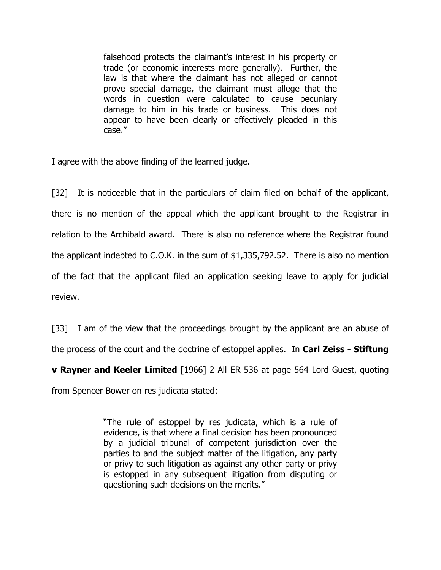falsehood protects the claimant's interest in his property or trade (or economic interests more generally). Further, the law is that where the claimant has not alleged or cannot prove special damage, the claimant must allege that the words in question were calculated to cause pecuniary damage to him in his trade or business. This does not appear to have been clearly or effectively pleaded in this case."

I agree with the above finding of the learned judge.

[32] It is noticeable that in the particulars of claim filed on behalf of the applicant, there is no mention of the appeal which the applicant brought to the Registrar in relation to the Archibald award. There is also no reference where the Registrar found the applicant indebted to C.O.K. in the sum of \$1,335,792.52. There is also no mention of the fact that the applicant filed an application seeking leave to apply for judicial review.

[33] I am of the view that the proceedings brought by the applicant are an abuse of the process of the court and the doctrine of estoppel applies. In Carl Zeiss - Stiftung

**v Rayner and Keeler Limited** [1966] 2 All ER 536 at page 564 Lord Guest, quoting from Spencer Bower on res judicata stated:

> "The rule of estoppel by res judicata, which is a rule of evidence, is that where a final decision has been pronounced by a judicial tribunal of competent jurisdiction over the parties to and the subject matter of the litigation, any party or privy to such litigation as against any other party or privy is estopped in any subsequent litigation from disputing or questioning such decisions on the merits."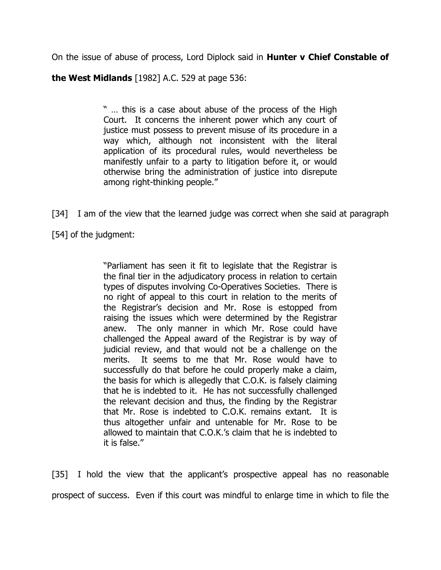On the issue of abuse of process, Lord Diplock said in **Hunter v Chief Constable of** 

the West Midlands [1982] A.C. 529 at page 536:

" … this is a case about abuse of the process of the High Court. It concerns the inherent power which any court of justice must possess to prevent misuse of its procedure in a way which, although not inconsistent with the literal application of its procedural rules, would nevertheless be manifestly unfair to a party to litigation before it, or would otherwise bring the administration of justice into disrepute among right-thinking people."

[34] I am of the view that the learned judge was correct when she said at paragraph [54] of the judgment:

> "Parliament has seen it fit to legislate that the Registrar is the final tier in the adjudicatory process in relation to certain types of disputes involving Co-Operatives Societies. There is no right of appeal to this court in relation to the merits of the Registrar's decision and Mr. Rose is estopped from raising the issues which were determined by the Registrar anew. The only manner in which Mr. Rose could have challenged the Appeal award of the Registrar is by way of judicial review, and that would not be a challenge on the merits. It seems to me that Mr. Rose would have to successfully do that before he could properly make a claim, the basis for which is allegedly that C.O.K. is falsely claiming that he is indebted to it. He has not successfully challenged the relevant decision and thus, the finding by the Registrar that Mr. Rose is indebted to C.O.K. remains extant. It is thus altogether unfair and untenable for Mr. Rose to be allowed to maintain that C.O.K.'s claim that he is indebted to it is false."

[35] I hold the view that the applicant's prospective appeal has no reasonable prospect of success. Even if this court was mindful to enlarge time in which to file the